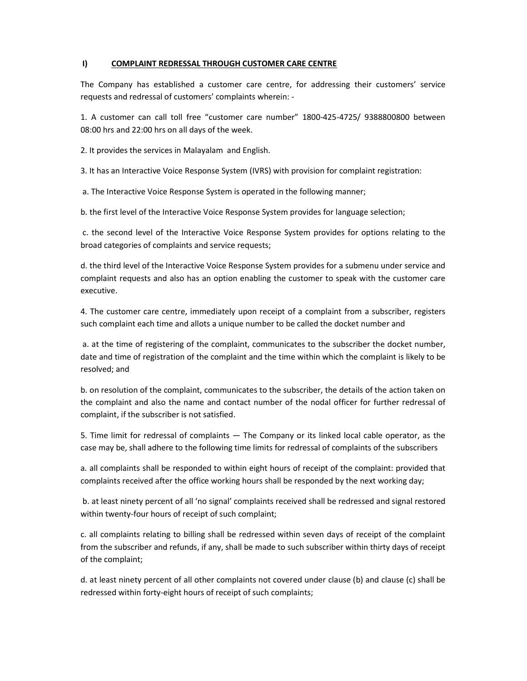## I) COMPLAINT REDRESSAL THROUGH CUSTOMER CARE CENTRE

The Company has established a customer care centre, for addressing their customers' service requests and redressal of customers' complaints wherein: -

1. A customer can call toll free "customer care number" 1800-425-4725/ 9388800800 between 08:00 hrs and 22:00 hrs on all days of the week.

2. It provides the services in Malayalam and English.

3. It has an Interactive Voice Response System (IVRS) with provision for complaint registration:

a. The Interactive Voice Response System is operated in the following manner;

b. the first level of the Interactive Voice Response System provides for language selection;

 c. the second level of the Interactive Voice Response System provides for options relating to the broad categories of complaints and service requests;

d. the third level of the Interactive Voice Response System provides for a submenu under service and complaint requests and also has an option enabling the customer to speak with the customer care executive.

4. The customer care centre, immediately upon receipt of a complaint from a subscriber, registers such complaint each time and allots a unique number to be called the docket number and

 a. at the time of registering of the complaint, communicates to the subscriber the docket number, date and time of registration of the complaint and the time within which the complaint is likely to be resolved; and

b. on resolution of the complaint, communicates to the subscriber, the details of the action taken on the complaint and also the name and contact number of the nodal officer for further redressal of complaint, if the subscriber is not satisfied.

5. Time limit for redressal of complaints — The Company or its linked local cable operator, as the case may be, shall adhere to the following time limits for redressal of complaints of the subscribers

a. all complaints shall be responded to within eight hours of receipt of the complaint: provided that complaints received after the office working hours shall be responded by the next working day;

 b. at least ninety percent of all 'no signal' complaints received shall be redressed and signal restored within twenty-four hours of receipt of such complaint;

c. all complaints relating to billing shall be redressed within seven days of receipt of the complaint from the subscriber and refunds, if any, shall be made to such subscriber within thirty days of receipt of the complaint;

d. at least ninety percent of all other complaints not covered under clause (b) and clause (c) shall be redressed within forty-eight hours of receipt of such complaints;